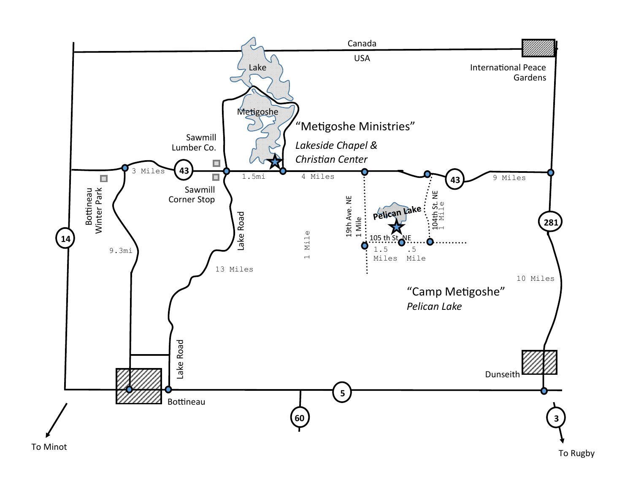